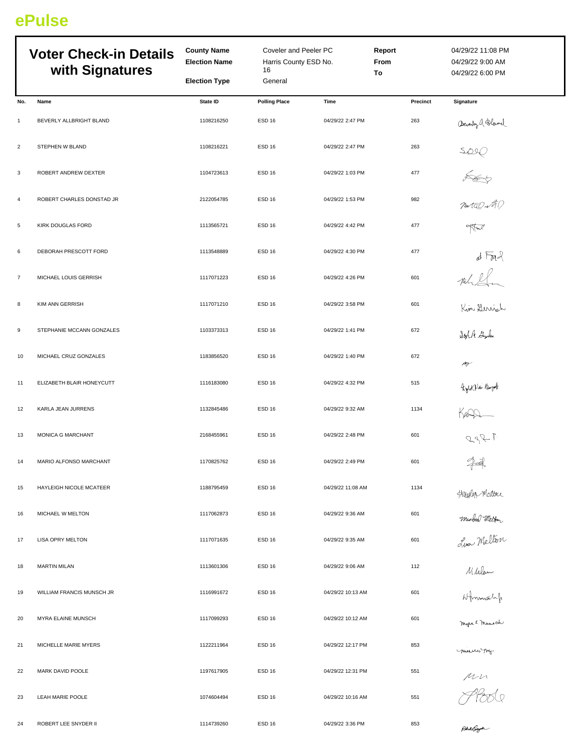## **ePulse**

|                | <b>Voter Check-in Details</b><br>with Signatures | <b>County Name</b><br><b>Election Name</b> | Coveler and Peeler PC<br>Harris County ESD No.<br>16 |                   | <b>Report</b><br>From<br>To | 04/29/22 11:08 PM<br>04/29/22 9:00 AM<br>04/29/22 6:00 PM |
|----------------|--------------------------------------------------|--------------------------------------------|------------------------------------------------------|-------------------|-----------------------------|-----------------------------------------------------------|
|                |                                                  | <b>Election Type</b>                       | General                                              |                   |                             |                                                           |
| No.            | Name                                             | State ID                                   | <b>Polling Place</b>                                 | Time              | Precinct                    | Signature                                                 |
| $\mathbf{1}$   | BEVERLY ALLBRIGHT BLAND                          | 1108216250                                 | <b>ESD 16</b>                                        | 04/29/22 2:47 PM  | 263                         |                                                           |
| $\overline{2}$ | STEPHEN W BLAND                                  | 1108216221                                 | <b>ESD 16</b>                                        | 04/29/22 2:47 PM  | 263                         |                                                           |
| 3              | ROBERT ANDREW DEXTER                             | 1104723613                                 | <b>ESD 16</b>                                        | 04/29/22 1:03 PM  | 477                         | Bendy A Bland<br>SDIC<br>Ponta O NAP                      |
| $\overline{a}$ | ROBERT CHARLES DONSTAD JR                        | 2122054785                                 | ESD <sub>16</sub>                                    | 04/29/22 1:53 PM  | 982                         |                                                           |
| 5              | KIRK DOUGLAS FORD                                | 1113565721                                 | ESD <sub>16</sub>                                    | 04/29/22 4:42 PM  | 477                         |                                                           |
| 6              | DEBORAH PRESCOTT FORD                            | 1113548889                                 | <b>ESD 16</b>                                        | 04/29/22 4:30 PM  | 477                         | $d \nabla R$                                              |
| $\overline{7}$ | MICHAEL LOUIS GERRISH                            | 1117071223                                 | ESD <sub>16</sub>                                    | 04/29/22 4:26 PM  | 601                         |                                                           |
| 8              | KIM ANN GERRISH                                  | 1117071210                                 | ESD <sub>16</sub>                                    | 04/29/22 3:58 PM  | 601                         |                                                           |
| 9              | STEPHANIE MCCANN GONZALES                        | 1103373313                                 | <b>ESD 16</b>                                        | 04/29/22 1:41 PM  | 672                         | Kin Herrish<br>Soh Aske                                   |
| 10             | MICHAEL CRUZ GONZALES                            | 1183856520                                 | ESD <sub>16</sub>                                    | 04/29/22 1:40 PM  | 672                         | m                                                         |
| 11             | ELIZABETH BLAIR HONEYCUTT                        | 1116183080                                 | <b>ESD 16</b>                                        | 04/29/22 4:32 PM  | 515                         |                                                           |
| 12             | KARLA JEAN JURRENS                               | 1132845486                                 | ESD <sub>16</sub>                                    | 04/29/22 9:32 AM  | 1134                        | Aghtla Book<br>Kann<br>age P                              |
| 13             | MONICA G MARCHANT                                | 2168455961                                 | ESD <sub>16</sub>                                    | 04/29/22 2:48 PM  | 601                         |                                                           |
| 14             | MARIO ALFONSO MARCHANT                           | 1170825762                                 | <b>ESD 16</b>                                        | 04/29/22 2:49 PM  | 601                         | 44                                                        |
| 15             | HAYLEIGH NICOLE MCATEER                          | 1188795459                                 | ESD 16                                               | 04/29/22 11:08 AM | 1134                        |                                                           |
| 16             | MICHAEL W MELTON                                 | 1117062873                                 | ESD <sub>16</sub>                                    | 04/29/22 9:36 AM  | 601                         | Haylor Weather<br>Michal Metter<br>Live Melton            |
| 17             | LISA OPRY MELTON                                 | 1117071635                                 | ESD <sub>16</sub>                                    | 04/29/22 9:35 AM  | 601                         |                                                           |
| 18             | <b>MARTIN MILAN</b>                              | 1113601306                                 | ESD <sub>16</sub>                                    | 04/29/22 9:06 AM  | 112                         |                                                           |
| 19             | WILLIAM FRANCIS MUNSCH JR                        | 1116991672                                 | ESD <sub>16</sub>                                    | 04/29/22 10:13 AM | 601                         | Mhlan<br>Afmonach<br>Ingue E. Munsch                      |
| 20             | MYRA ELAINE MUNSCH                               | 1117099293                                 | ESD 16                                               | 04/29/22 10:12 AM | 601                         |                                                           |
| 21             | MICHELLE MARIE MYERS                             | 1122211964                                 | ESD <sub>16</sub>                                    | 04/29/22 12:17 PM | 853                         | maus no                                                   |
| 22             | MARK DAVID POOLE                                 | 1197617905                                 | ESD <sub>16</sub>                                    | 04/29/22 12:31 PM | 551                         |                                                           |
| 23             | LEAH MARIE POOLE                                 | 1074604494                                 | ESD <sub>16</sub>                                    | 04/29/22 10:16 AM | 551                         | Mr<br>PP000                                               |
| 24             | ROBERT LEE SNYDER II                             | 1114739260                                 | <b>ESD 16</b>                                        | 04/29/22 3:36 PM  | 853                         |                                                           |